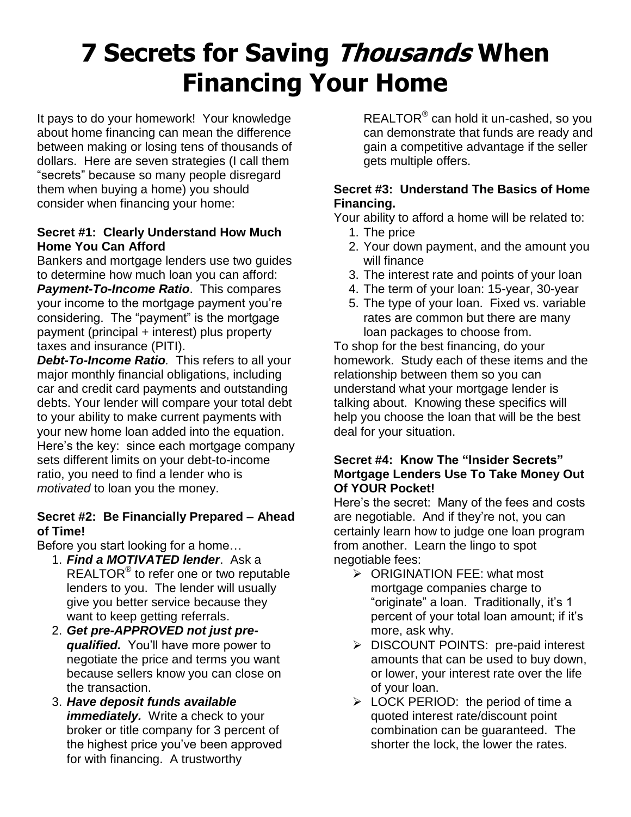# **7 Secrets for Saving Thousands When Financing Your Home**

It pays to do your homework! Your knowledge about home financing can mean the difference between making or losing tens of thousands of dollars. Here are seven strategies (I call them "secrets" because so many people disregard them when buying a home) you should consider when financing your home:

#### **Secret #1: Clearly Understand How Much Home You Can Afford**

Bankers and mortgage lenders use two guides to determine how much loan you can afford: *Payment-To-Income Ratio*. This compares your income to the mortgage payment you're considering. The "payment" is the mortgage payment (principal + interest) plus property taxes and insurance (PITI).

*Debt-To-Income Ratio.* This refers to all your major monthly financial obligations, including car and credit card payments and outstanding debts. Your lender will compare your total debt to your ability to make current payments with your new home loan added into the equation. Here's the key: since each mortgage company sets different limits on your debt-to-income ratio, you need to find a lender who is *motivated* to loan you the money.

#### **Secret #2: Be Financially Prepared – Ahead of Time!**

Before you start looking for a home…

- 1. *Find a MOTIVATED lender*. Ask a REALTOR<sup>®</sup> to refer one or two reputable lenders to you. The lender will usually give you better service because they want to keep getting referrals.
- 2. *Get pre-APPROVED not just prequalified.* You'll have more power to negotiate the price and terms you want because sellers know you can close on the transaction.
- 3. *Have deposit funds available immediately.* Write a check to your broker or title company for 3 percent of the highest price you've been approved for with financing. A trustworthy

REALTOR<sup>®</sup> can hold it un-cashed, so you can demonstrate that funds are ready and gain a competitive advantage if the seller gets multiple offers.

#### **Secret #3: Understand The Basics of Home Financing.**

Your ability to afford a home will be related to:

- 1. The price
- 2. Your down payment, and the amount you will finance
- 3. The interest rate and points of your loan
- 4. The term of your loan: 15-year, 30-year
- 5. The type of your loan. Fixed vs. variable rates are common but there are many loan packages to choose from.

To shop for the best financing, do your homework. Study each of these items and the relationship between them so you can understand what your mortgage lender is talking about. Knowing these specifics will help you choose the loan that will be the best deal for your situation.

#### **Secret #4: Know The "Insider Secrets" Mortgage Lenders Use To Take Money Out Of YOUR Pocket!**

Here's the secret: Many of the fees and costs are negotiable. And if they're not, you can certainly learn how to judge one loan program from another. Learn the lingo to spot negotiable fees:

- ORIGINATION FEE: what most mortgage companies charge to "originate" a loan. Traditionally, it's 1 percent of your total loan amount; if it's more, ask why.
- > DISCOUNT POINTS: pre-paid interest amounts that can be used to buy down, or lower, your interest rate over the life of your loan.
- $\triangleright$  LOCK PERIOD: the period of time a quoted interest rate/discount point combination can be guaranteed. The shorter the lock, the lower the rates.